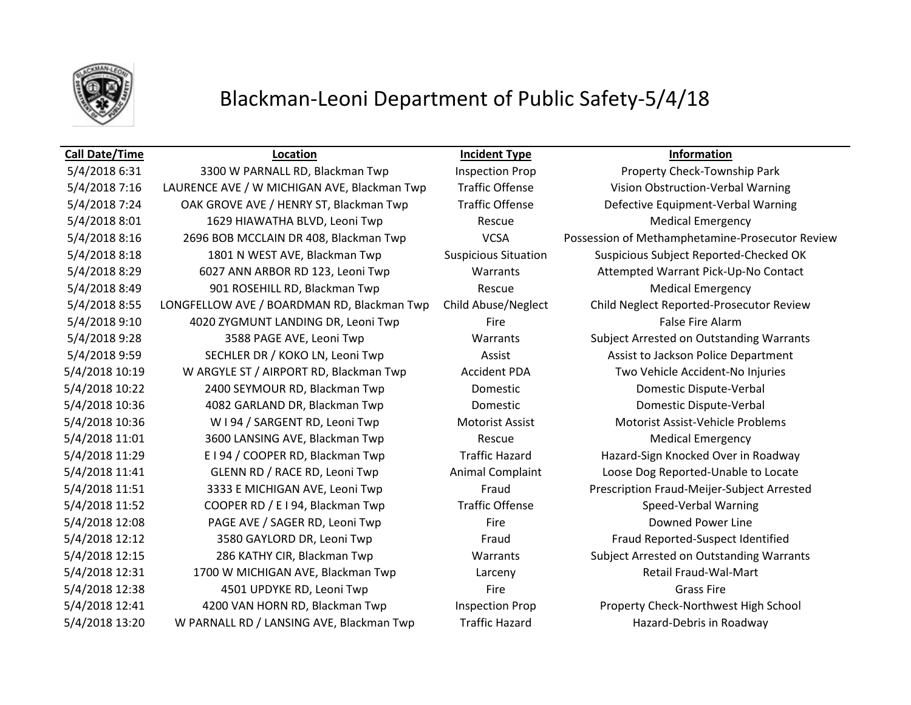

# Blackman-Leoni Department of Public Safety-5/4/18

## **Call Date/Time Location Incident Type Information**

5/4/2018 6:31 3300 W PARNALL RD, Blackman Twp Inspection Prop Property Check-Township Park 5/4/2018 8:01 1629 HIAWATHA BLVD, Leoni Twp Rescue Rescue Medical Emergency 5/4/2018 8:49 901 ROSEHILL RD, Blackman Twp Rescue Rescue Medical Emergency 5/4/2018 9:10 4020 ZYGMUNT LANDING DR, Leoni Twp Fire False Fire Alarm 5/4/2018 11:01 3600 LANSING AVE, Blackman Twp Rescue Rescue Medical Emergency 5/4/2018 12:08 PAGE AVE / SAGER RD, Leoni Twp Fire Fire Bowned Power Line 5/4/2018 12:38 4501 UPDYKE RD, Leoni Twp Fire Grass Fire

5/4/2018 7:16 LAURENCE AVE / W MICHIGAN AVE, Blackman Twp Traffic Offense Vision Obstruction-Verbal Warning 5/4/2018 7:24 OAK GROVE AVE / HENRY ST, Blackman Twp Traffic Offense Defective Equipment-Verbal Warning 5/4/2018 8:16 2696 BOB MCCLAIN DR 408, Blackman Twp VCSA Possession of Methamphetamine-Prosecutor Review 5/4/2018 8:18 1801 N WEST AVE, Blackman Twp Suspicious Situation Suspicious Subject Reported-Checked OK 5/4/2018 8:29 6027 ANN ARBOR RD 123, Leoni Twp Warrants Attempted Warrant Pick-Up-No Contact 5/4/2018 8:55 LONGFELLOW AVE / BOARDMAN RD, Blackman Twp Child Abuse/Neglect Child Neglect Reported-Prosecutor Review 5/4/2018 9:28 3588 PAGE AVE, Leoni Twp Warrants Subject Arrested on Outstanding Warrants 5/4/2018 9:59 SECHLER DR / KOKO LN, Leoni Twp Assist Assist Assist to Jackson Police Department 5/4/2018 10:19 W ARGYLE ST / AIRPORT RD, Blackman Twp Accident PDA Two Vehicle Accident-No Injuries 5/4/2018 10:22 2400 SEYMOUR RD, Blackman Twp Domestic Domestic Dispute-Verbal 5/4/2018 10:36 4082 GARLAND DR, Blackman Twp Domestic Domestic Dispute-Verbal 5/4/2018 10:36 W I 94 / SARGENT RD, Leoni Twp Motorist Assist Motorist Assist-Vehicle Problems 5/4/2018 11:29 E I 94 / COOPER RD, Blackman Twp Traffic Hazard Hazard-Sign Knocked Over in Roadway 5/4/2018 11:41 GLENN RD / RACE RD, Leoni Twp Animal Complaint Loose Dog Reported-Unable to Locate 5/4/2018 11:51 3333 E MICHIGAN AVE, Leoni Twp Fraud Prescription Fraud-Meijer-Subject Arrested 5/4/2018 11:52 COOPER RD / E I 94, Blackman Twp Traffic Offense Speed-Verbal Warning 5/4/2018 12:12 3580 GAYLORD DR, Leoni Twp Fraud Fraud Fraud Fraud Reported-Suspect Identified 5/4/2018 12:15 286 KATHY CIR, Blackman Twp Warrants Subject Arrested on Outstanding Warrants 5/4/2018 12:31 1700 W MICHIGAN AVE, Blackman Twp Larceny Larceny Retail Fraud-Wal-Mart 5/4/2018 12:41 4200 VAN HORN RD, Blackman Twp Inspection Prop Property Check-Northwest High School 5/4/2018 13:20 W PARNALL RD / LANSING AVE, Blackman Twp Traffic Hazard Hazard Hazard-Debris in Roadway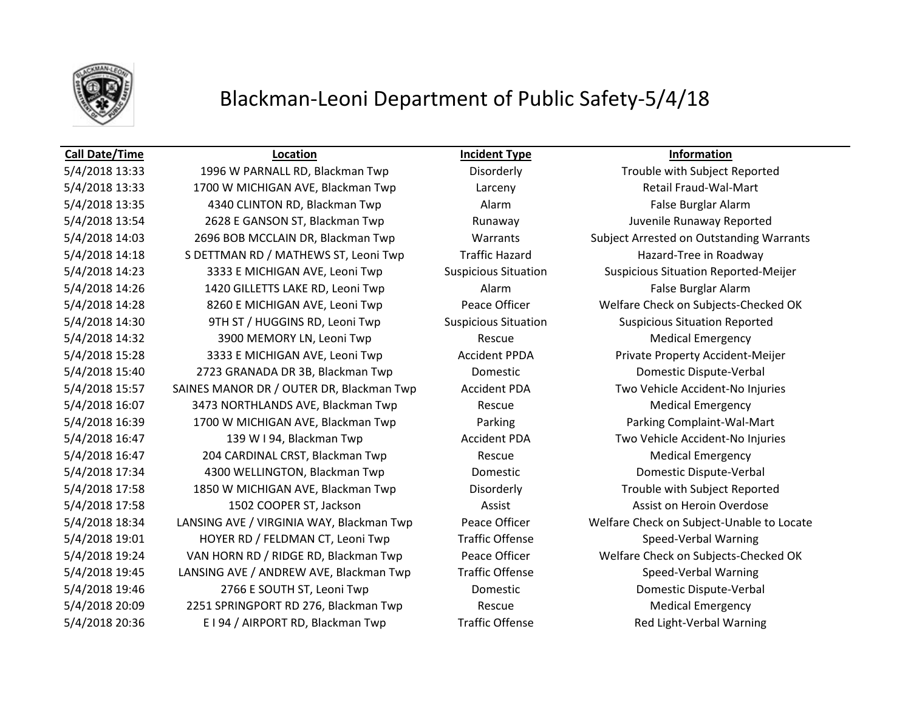

# Blackman-Leoni Department of Public Safety-5/4/18

### **Call Date/Time Location Incident Type Information**

5/4/2018 13:33 1700 W MICHIGAN AVE, Blackman Twp Larceny Retail Fraud-Wal-Mart 5/4/2018 13:35 4340 CLINTON RD, Blackman Twp Alarm Alarm False Burglar Alarm 5/4/2018 13:54 2628 E GANSON ST, Blackman Twp Runaway Juvenile Runaway Reported 5/4/2018 14:03 2696 BOB MCCLAIN DR, Blackman Twp Warrants Subject Arrested on Outstanding Warrants 5/4/2018 14:18 S DETTMAN RD / MATHEWS ST, Leoni Twp Traffic Hazard Hazard-Tree in Roadway 5/4/2018 14:23 **3333 E MICHIGAN AVE, Leoni Twp** Suspicious Situation Suspicious Situation Reported-Meijer 5/4/2018 14:26 1420 GILLETTS LAKE RD, Leoni Twp Alarm Alarm False Burglar Alarm 5/4/2018 14:28 8260 E MICHIGAN AVE, Leoni Twp Peace Officer Welfare Check on Subjects-Checked OK 5/4/2018 14:30 9TH ST / HUGGINS RD, Leoni Twp Suspicious Situation Suspicious Situation Reported 5/4/2018 14:32 3900 MEMORY LN, Leoni Twp Rescue Rescue Medical Emergency 5/4/2018 15:28 3333 E MICHIGAN AVE, Leoni Twp **Accident PPDA** Private Property Accident-Meijer 5/4/2018 15:40 2723 GRANADA DR 3B, Blackman Twp Domestic Domestic Dispute-Verbal 5/4/2018 15:57 SAINES MANOR DR / OUTER DR, Blackman Twp Accident PDA Two Vehicle Accident-No Injuries 5/4/2018 16:07 3473 NORTHLANDS AVE, Blackman Twp Rescue Medical Emergency 5/4/2018 16:39 1700 W MICHIGAN AVE, Blackman Twp Parking Parking Complaint-Wal-Mart 5/4/2018 16:47 139 W I 94, Blackman Twp **Accident PDA** Two Vehicle Accident-No Injuries 5/4/2018 16:47 **204 CARDINAL CRST, Blackman Twp** Rescue Rescue Medical Emergency 5/4/2018 17:34 4300 WELLINGTON, Blackman Twp Domestic Domestic Dispute-Verbal 5/4/2018 17:58 1850 W MICHIGAN AVE, Blackman Twp Disorderly Trouble with Subject Reported 5/4/2018 17:58 1502 COOPER ST, Jackson Assist Assist Assist Assist on Heroin Overdose 5/4/2018 18:34 LANSING AVE / VIRGINIA WAY, Blackman Twp Peace Officer Welfare Check on Subject-Unable to Locate 5/4/2018 19:01 **HOYER RD / FELDMAN CT, Leoni Twp** Traffic Offense Speed-Verbal Warning 5/4/2018 19:24 VAN HORN RD / RIDGE RD, Blackman Twp Peace Officer Welfare Check on Subjects-Checked OK 5/4/2018 19:45 LANSING AVE / ANDREW AVE, Blackman Twp Traffic Offense Speed-Verbal Warning 5/4/2018 19:46 2766 E SOUTH ST, Leoni Twp Domestic Domestic Dispute-Verbal 5/4/2018 20:09 2251 SPRINGPORT RD 276, Blackman Twp Rescue Rescue Medical Emergency 5/4/2018 20:36 E I 94 / AIRPORT RD, Blackman Twp Traffic Offense Red Light-Verbal Warning

5/4/2018 13:33 1996 W PARNALL RD, Blackman Twp Disorderly Disorderly Trouble with Subject Reported